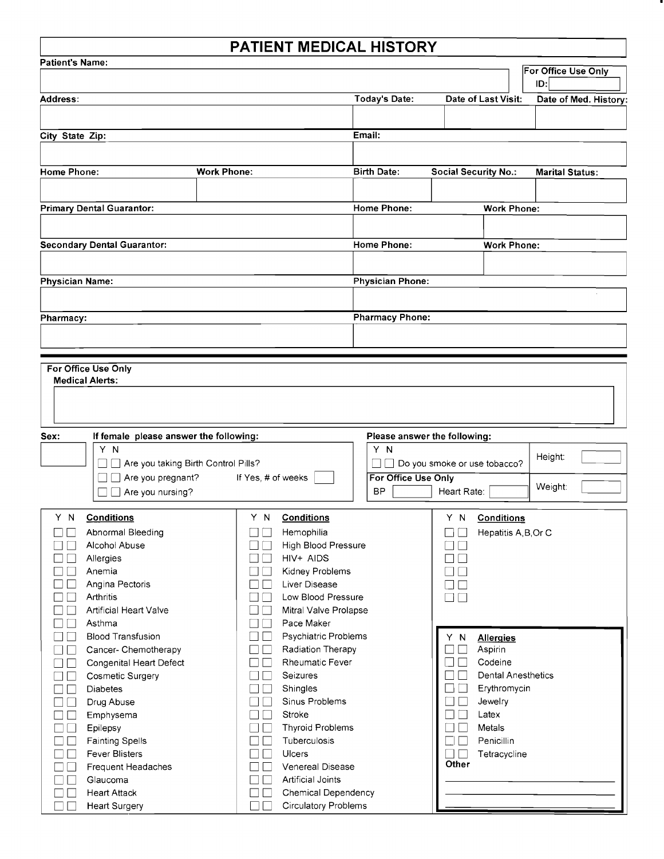## PATIENT MEDICAL HISTORY

| <b>Patient's Name:</b>                     |                                        |                    |                    |                             |                         |                                   |                             |                           |                    |                        |  |
|--------------------------------------------|----------------------------------------|--------------------|--------------------|-----------------------------|-------------------------|-----------------------------------|-----------------------------|---------------------------|--------------------|------------------------|--|
|                                            |                                        |                    |                    |                             |                         |                                   |                             |                           |                    | For Office Use Only    |  |
|                                            |                                        |                    |                    |                             |                         |                                   |                             |                           |                    | D:                     |  |
| Address:                                   |                                        |                    |                    |                             |                         | <b>Today's Date:</b>              | Date of Last Visit:         |                           |                    | Date of Med. History:  |  |
|                                            |                                        |                    |                    |                             |                         |                                   |                             |                           |                    |                        |  |
|                                            |                                        |                    |                    |                             |                         | Email:                            |                             |                           |                    |                        |  |
| City State Zip:                            |                                        |                    |                    |                             |                         |                                   |                             |                           |                    |                        |  |
|                                            |                                        |                    |                    |                             |                         |                                   |                             |                           |                    |                        |  |
| <b>Home Phone:</b>                         |                                        | <b>Work Phone:</b> |                    |                             |                         | <b>Birth Date:</b>                | <b>Social Security No.:</b> |                           |                    | <b>Marital Status:</b> |  |
|                                            |                                        |                    |                    |                             |                         |                                   |                             |                           |                    |                        |  |
|                                            |                                        |                    |                    |                             |                         |                                   |                             |                           |                    |                        |  |
| <b>Primary Dental Guarantor:</b>           |                                        |                    |                    |                             |                         | Home Phone:<br><b>Work Phone:</b> |                             |                           |                    |                        |  |
|                                            |                                        |                    |                    |                             |                         |                                   |                             |                           |                    |                        |  |
|                                            |                                        |                    |                    |                             |                         |                                   |                             |                           |                    |                        |  |
|                                            | <b>Secondary Dental Guarantor:</b>     |                    |                    |                             | <b>Home Phone:</b>      |                                   |                             |                           | <b>Work Phone:</b> |                        |  |
|                                            |                                        |                    |                    |                             |                         |                                   |                             |                           |                    |                        |  |
| <b>Physician Name:</b>                     |                                        |                    |                    |                             | <b>Physician Phone:</b> |                                   |                             |                           |                    |                        |  |
|                                            |                                        |                    |                    |                             |                         |                                   |                             |                           |                    |                        |  |
|                                            |                                        |                    |                    |                             |                         |                                   |                             |                           |                    |                        |  |
| Pharmacy:                                  |                                        |                    |                    |                             |                         | <b>Pharmacy Phone:</b>            |                             |                           |                    |                        |  |
|                                            |                                        |                    |                    |                             |                         |                                   |                             |                           |                    |                        |  |
|                                            |                                        |                    |                    |                             |                         |                                   |                             |                           |                    |                        |  |
|                                            |                                        |                    |                    |                             |                         |                                   |                             |                           |                    |                        |  |
|                                            | For Office Use Only                    |                    |                    |                             |                         |                                   |                             |                           |                    |                        |  |
|                                            | <b>Medical Alerts:</b>                 |                    |                    |                             |                         |                                   |                             |                           |                    |                        |  |
|                                            |                                        |                    |                    |                             |                         |                                   |                             |                           |                    |                        |  |
|                                            |                                        |                    |                    |                             |                         |                                   |                             |                           |                    |                        |  |
|                                            |                                        |                    |                    |                             |                         |                                   |                             |                           |                    |                        |  |
| Sex:                                       | If female please answer the following: |                    |                    |                             |                         | Please answer the following:      |                             |                           |                    |                        |  |
| Y N<br>Are you taking Birth Control Pills? |                                        |                    |                    | Y N<br>Height:              |                         |                                   |                             |                           |                    |                        |  |
|                                            |                                        |                    |                    |                             | $\Box$                  | Do you smoke or use tobacco?      |                             |                           |                    |                        |  |
|                                            | Are you pregnant?<br>$\perp$           |                    | If Yes, # of weeks |                             |                         | For Office Use Only               |                             |                           |                    | Weight:                |  |
|                                            | $\Box$ Are you nursing?                |                    |                    |                             |                         | <b>BP</b>                         | Heart Rate:                 |                           |                    |                        |  |
|                                            |                                        |                    |                    |                             |                         |                                   |                             |                           |                    |                        |  |
| ΥN                                         | <b>Conditions</b>                      |                    | Y N                | <b>Conditions</b>           |                         |                                   | Y N                         | <b>Conditions</b>         |                    |                        |  |
|                                            | Abnormal Bleeding                      |                    |                    | Hemophilia                  |                         |                                   |                             | Hepatitis A, B, Or C      |                    |                        |  |
|                                            | Alcohol Abuse                          |                    |                    | <b>High Blood Pressure</b>  |                         |                                   |                             |                           |                    |                        |  |
|                                            | Allergies                              |                    |                    | HIV+ AIDS                   |                         |                                   |                             |                           |                    |                        |  |
|                                            | Anemia                                 |                    |                    | Kidney Problems             |                         |                                   |                             |                           |                    |                        |  |
|                                            | Angina Pectoris                        |                    |                    | <b>Liver Disease</b>        |                         |                                   |                             |                           |                    |                        |  |
|                                            | Arthritis                              |                    |                    | Low Blood Pressure          |                         |                                   |                             |                           |                    |                        |  |
|                                            | <b>Artificial Heart Valve</b>          |                    |                    | Mitral Valve Prolapse       |                         |                                   |                             |                           |                    |                        |  |
|                                            | Asthma                                 |                    |                    | Pace Maker                  |                         |                                   |                             |                           |                    |                        |  |
| $\vert \hspace{.06cm} \vert$               | <b>Blood Transfusion</b>               |                    |                    | Psychiatric Problems        |                         |                                   | Y N                         | <b>Allergies</b>          |                    |                        |  |
| $\Box$<br>$\mathbf{L}$                     | Cancer- Chemotherapy                   |                    | $\vert \ \ \vert$  | Radiation Therapy           |                         |                                   |                             | Aspirin                   |                    |                        |  |
| $\Box$                                     | Congenital Heart Defect                |                    | $\blacksquare$     | Rheumatic Fever             |                         |                                   |                             | Codeine                   |                    |                        |  |
| $\mathbb{R}^n$                             | <b>Cosmetic Surgery</b>                |                    |                    | Seizures                    |                         |                                   |                             | <b>Dental Anesthetics</b> |                    |                        |  |
| $\mathbf{I}$                               | <b>Diabetes</b>                        |                    |                    | Shingles                    |                         |                                   | - 1                         | Erythromycin              |                    |                        |  |
| $\mathbf{I}$                               | Drug Abuse                             |                    |                    | Sinus Problems              |                         |                                   |                             | Jewelry                   |                    |                        |  |
| $\mathbf{I}$                               | Emphysema                              |                    |                    | Stroke                      |                         |                                   |                             | Latex                     |                    |                        |  |
| $\Box$                                     | Epilepsy                               |                    |                    | <b>Thyroid Problems</b>     |                         |                                   |                             | Metals                    |                    |                        |  |
| ГΙ                                         | <b>Fainting Spells</b>                 |                    |                    | Tuberculosis                |                         |                                   |                             | Penicillin                |                    |                        |  |
| $\vert \ \ \vert$                          | <b>Fever Blisters</b>                  |                    |                    | Ulcers                      |                         |                                   |                             | Tetracycline              |                    |                        |  |
| $\Box$                                     | Frequent Headaches                     |                    |                    | Venereal Disease            |                         |                                   | Other                       |                           |                    |                        |  |
| $\Box$                                     | Glaucoma                               |                    |                    | Artificial Joints           |                         |                                   |                             |                           |                    |                        |  |
| $\Box$                                     | <b>Heart Attack</b>                    |                    |                    | <b>Chemical Dependency</b>  |                         |                                   |                             |                           |                    |                        |  |
| $\Box$                                     | <b>Heart Surgery</b>                   |                    | П                  | <b>Circulatory Problems</b> |                         |                                   |                             |                           |                    |                        |  |